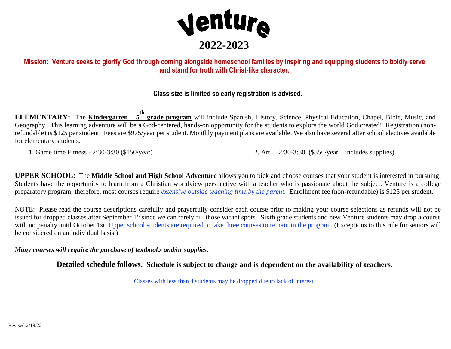

## Mission: Venture seeks to glorify God through coming alongside homeschool families by inspiring and equipping students to boldly serve **and stand for truth with Christ-like character.**

### **Class size is limited so early registration is advised.**

**ELEMENTARY:** The **Kindergarten – 5 th grade program** will include Spanish, History, Science, Physical Education, Chapel, Bible, Music, and Geography. This learning adventure will be a God-centered, hands-on opportunity for the students to explore the world God created! Registration (nonrefundable) is \$125 per student. Fees are \$975/year per student. Monthly payment plans are available. We also have several after school electives available for elementary students.

1. Game time Fitness - 2:30-3:30 (\$150/year) 2. Art – 2:30-3:30 (\$350/year – includes supplies)

**UPPER SCHOOL:** The **Middle School and High School Adventure** allows you to pick and choose courses that your student is interested in pursuing. Students have the opportunity to learn from a Christian worldview perspective with a teacher who is passionate about the subject. Venture is a college preparatory program; therefore, most courses require *extensive outside teaching time by the parent*. Enrollment fee (non-refundable) is \$125 per student.

NOTE: Please read the course descriptions carefully and prayerfully consider each course prior to making your course selections as refunds will not be issued for dropped classes after September 1<sup>st</sup> since we can rarely fill those vacant spots. Sixth grade students and new Venture students may drop a course with no penalty until October 1st. Upper school students are required to take three courses to remain in the program. (Exceptions to this rule for seniors will be considered on an individual basis.)

#### *Many courses will require the purchase of textbooks and/or supplies***.**

**Detailed schedule follows. Schedule is subject to change and is dependent on the availability of teachers.**

Classes with less than 4 students may be dropped due to lack of interest.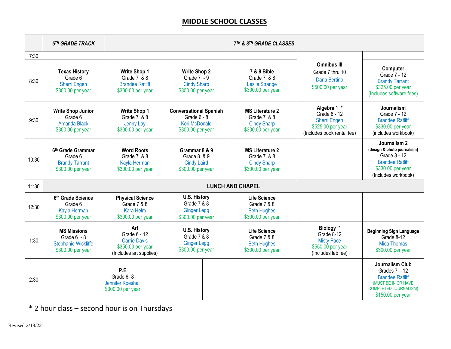# **MIDDLE SCHOOL CLASSES**

|       | 6TH GRADE TRACK                                                                        | 7TH & 8TH GRADE CLASSES                                                                    |                                                                                             |                                                                                      |                                                                                                       |                                                                                                                                                 |  |
|-------|----------------------------------------------------------------------------------------|--------------------------------------------------------------------------------------------|---------------------------------------------------------------------------------------------|--------------------------------------------------------------------------------------|-------------------------------------------------------------------------------------------------------|-------------------------------------------------------------------------------------------------------------------------------------------------|--|
| 7:30  |                                                                                        |                                                                                            |                                                                                             |                                                                                      |                                                                                                       |                                                                                                                                                 |  |
| 8:30  | <b>Texas History</b><br>Grade 6<br><b>Sherri Engen</b><br>\$300.00 per year            | <b>Write Shop 1</b><br>Grade 7 & 8<br><b>Brandee Ratliff</b><br>\$300.00 per year          | <b>Write Shop 2</b><br>Grade $7 - 9$<br><b>Cindy Sharp</b><br>\$300.00 per year             | 7 & 8 Bible<br>Grade 7 & 8<br><b>Leslie Strange</b><br>\$300.00 per year             | <b>Omnibus III</b><br>Grade 7 thru 10<br>Dana Bertino<br>\$500.00 per year                            | Computer<br>Grade 7 - 12<br><b>Brandy Tarrant</b><br>\$325.00 per year<br>(Includes software fees)                                              |  |
| 9:30  | <b>Write Shop Junior</b><br>Grade 6<br>Amanda Black<br>\$300.00 per year               | <b>Write Shop 1</b><br>Grade 7 & 8<br>Jenny Lay<br>\$300.00 per year                       | <b>Conversational Spanish</b><br>Grade $6 - 8$<br><b>Keri McDonald</b><br>\$300.00 per year | <b>MS Literature 2</b><br>Grade 7 & 8<br><b>Cindy Sharp</b><br>\$300.00 per year     | Algebra 1 *<br>Grade 8 - 12<br><b>Sherri Engen</b><br>\$525.00 per year<br>(Includes book rental fee) | Journalism<br>Grade 7 - 12<br><b>Brandee Ratliff</b><br>\$330.00 per year<br>(includes workbook)                                                |  |
| 10:30 | 6th Grade Grammar<br>Grade 6<br><b>Brandy Tarrant</b><br>\$300.00 per year             | <b>Word Roots</b><br>Grade $7 & 8 & 8$<br>Kayla Herman<br>\$300.00 per year                | Grammar 8 & 9<br>Grade $8, 8, 9$<br><b>Cindy Laird</b><br>\$300.00 per year                 | <b>MS Literature 2</b><br>Grade $7, 8, 8$<br><b>Cindy Sharp</b><br>\$300.00 per year |                                                                                                       | Journalism 2<br>(design & photo journalism)<br>Grade 8 - 12<br><b>Brandee Ratliff</b><br>\$330.00 per year<br>(Includes workbook)               |  |
| 11:30 |                                                                                        | <b>LUNCH AND CHAPEL</b>                                                                    |                                                                                             |                                                                                      |                                                                                                       |                                                                                                                                                 |  |
| 12:30 | 6th Grade Science<br>Grade 6<br>Kayla Herman<br>\$300.00 per year                      | <b>Physical Science</b><br>Grade 7 & 8<br>Kara Helm<br>\$300.00 per year                   | <b>U.S. History</b><br>Grade 7 & 8<br><b>Ginger Legg</b><br>\$300.00 per year               | <b>Life Science</b><br>Grade 7 & 8<br><b>Beth Hughes</b><br>\$300.00 per year        |                                                                                                       |                                                                                                                                                 |  |
| 1:30  | <b>MS Missions</b><br>Grade $6 - 8$<br><b>Stephanie Wickliffe</b><br>\$300.00 per year | Art<br>Grade 6 - 12<br><b>Carrie Davis</b><br>\$350.00 per year<br>(Includes art supplies) | <b>U.S. History</b><br>Grade 7 & 8<br><b>Ginger Legg</b><br>\$300.00 per year               | <b>Life Science</b><br>Grade 7 & 8<br><b>Beth Hughes</b><br>\$300.00 per year        | Biology *<br>Grade 8-12<br><b>Misty Pace</b><br>\$550.00 per year<br>(Includes lab fee)               | <b>Beginning Sign Language</b><br>Grade 8-12<br><b>Mica Thomas</b><br>\$300.00 per year                                                         |  |
| 2:30  |                                                                                        | P.E<br>Grade 6-8<br>Jennifer Koeshall<br>\$300.00 per year                                 |                                                                                             |                                                                                      |                                                                                                       | <b>Journalism Club</b><br>Grades $7 - 12$<br><b>Brandee Ratliff</b><br>(MUST BE IN OR HAVE<br><b>COMPLETED JOURNALISM)</b><br>\$150.00 per year |  |

\* 2 hour class – second hour is on Thursdays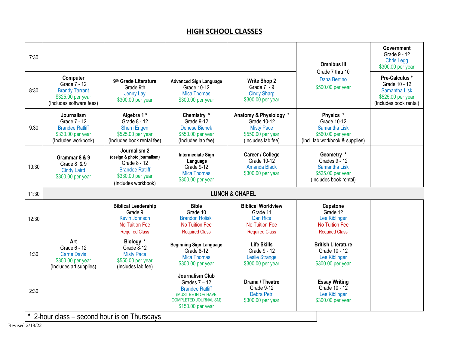## **HIGH SCHOOL CLASSES**

| 7:30  |                                                                                                    |                                                                                                                                   |                                                                                                                                                 |                                                                                                       | <b>Omnibus III</b><br>Grade 7 thru 10                                                             | Government<br>Grade 9 - 12<br><b>Chris Legg</b><br>\$300.00 per year                            |  |
|-------|----------------------------------------------------------------------------------------------------|-----------------------------------------------------------------------------------------------------------------------------------|-------------------------------------------------------------------------------------------------------------------------------------------------|-------------------------------------------------------------------------------------------------------|---------------------------------------------------------------------------------------------------|-------------------------------------------------------------------------------------------------|--|
| 8:30  | Computer<br>Grade 7 - 12<br><b>Brandy Tarrant</b><br>\$325.00 per year<br>(Includes software fees) | 9th Grade Literature<br>Grade 9th<br>Jenny Lay<br>\$300.00 per year                                                               | <b>Advanced Sign Language</b><br>Grade 10-12<br><b>Mica Thomas</b><br>\$300.00 per year                                                         | <b>Write Shop 2</b><br>Grade $7 - 9$<br><b>Cindy Sharp</b><br>\$300.00 per year                       | Dana Bertino<br>\$500.00 per year                                                                 | Pre-Calculus *<br>Grade 10 - 12<br>Samantha Lisk<br>\$525.00 per year<br>(Includes book rental) |  |
| 9:30  | Journalism<br>Grade 7 - 12<br><b>Brandee Ratliff</b><br>\$330.00 per year<br>(Includes workbook)   | Algebra 1*<br>Grade 8 - 12<br><b>Sherri Engen</b><br>\$525.00 per year<br>(Includes book rental fee)                              | Chemistry *<br>Grade 9-12<br><b>Denese Bienek</b><br>\$550.00 per year<br>(Includes lab fee)                                                    | Anatomy & Physiology *<br>Grade 10-12<br><b>Misty Pace</b><br>\$550.00 per year<br>(Includes lab fee) | Physics *<br>Grade 10-12<br>Samantha Lisk<br>\$560.00 per year<br>(Incl. lab workbook & supplies) |                                                                                                 |  |
| 10:30 | Grammar 8 & 9<br>Grade 8 & 9<br><b>Cindy Laird</b><br>\$300.00 per year                            | Journalism 2<br>(design & photo journalism)<br>Grade 8 - 12<br><b>Brandee Ratliff</b><br>\$330.00 per year<br>(Includes workbook) | <b>Intermediate Sign</b><br>Language<br>Grade 9-12<br><b>Mica Thomas</b><br>\$300.00 per year                                                   | Career / College<br>Grade 10-12<br><b>Amanda Black</b><br>\$300.00 per year                           | Geometry *<br>Grades 9 - 12<br>Samantha Lisk<br>\$525.00 per year<br>(Includes book rental)       |                                                                                                 |  |
| 11:30 | <b>LUNCH &amp; CHAPEL</b>                                                                          |                                                                                                                                   |                                                                                                                                                 |                                                                                                       |                                                                                                   |                                                                                                 |  |
| 12:30 |                                                                                                    | <b>Biblical Leadership</b><br>Grade 9<br>Kevin Johnson<br>No Tuition Fee<br><b>Required Class</b>                                 | <b>Bible</b><br>Grade 10<br><b>Brandon Holiski</b><br>No Tuition Fee<br><b>Required Class</b>                                                   | <b>Biblical Worldview</b><br>Grade 11<br><b>Dan Rice</b><br>No Tuition Fee<br><b>Required Class</b>   | Capstone<br>Grade 12<br>Lee Kiblinger<br><b>No Tuition Fee</b><br><b>Required Class</b>           |                                                                                                 |  |
| 1:30  | Art<br>Grade 6 - 12<br><b>Carrie Davis</b><br>\$350.00 per year<br>(Includes art supplies)         | Biology *<br>Grade 8-12<br><b>Misty Pace</b><br>\$550.00 per year<br>(Includes lab fee)                                           | <b>Beginning Sign Language</b><br>Grade 8-12<br><b>Mica Thomas</b><br>\$300.00 per year                                                         | <b>Life Skills</b><br>Grade 9 - 12<br><b>Leslie Strange</b><br>\$300.00 per year                      | <b>British Literature</b><br>Grade 10 - 12<br>Lee Kiblinger<br>\$300.00 per year                  |                                                                                                 |  |
| 2:30  | * 2-hour class - second hour is on Thursdays                                                       |                                                                                                                                   | <b>Journalism Club</b><br>Grades $7 - 12$<br><b>Brandee Ratliff</b><br>(MUST BE IN OR HAVE<br><b>COMPLETED JOURNALISM)</b><br>\$150.00 per year | Drama / Theatre<br>Grade 9-12<br>Debra Petri<br>\$300.00 per year                                     | <b>Essay Writing</b><br>Grade 10 - 12<br>Lee Kiblinger<br>\$300.00 per year                       |                                                                                                 |  |